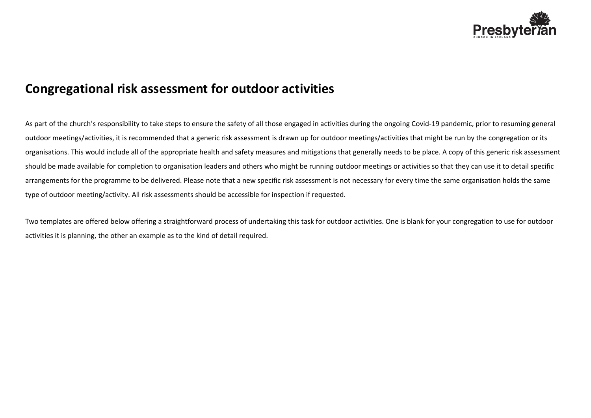

## **Congregational risk assessment for outdoor activities**

As part of the church's responsibility to take steps to ensure the safety of all those engaged in activities during the ongoing Covid-19 pandemic, prior to resuming general outdoor meetings/activities, it is recommended that a generic risk assessment is drawn up for outdoor meetings/activities that might be run by the congregation or its organisations. This would include all of the appropriate health and safety measures and mitigations that generally needs to be place. A copy of this generic risk assessment should be made available for completion to organisation leaders and others who might be running outdoor meetings or activities so that they can use it to detail specific arrangements for the programme to be delivered. Please note that a new specific risk assessment is not necessary for every time the same organisation holds the same type of outdoor meeting/activity. All risk assessments should be accessible for inspection if requested.

Two templates are offered below offering a straightforward process of undertaking this task for outdoor activities. One is blank for your congregation to use for outdoor activities it is planning, the other an example as to the kind of detail required.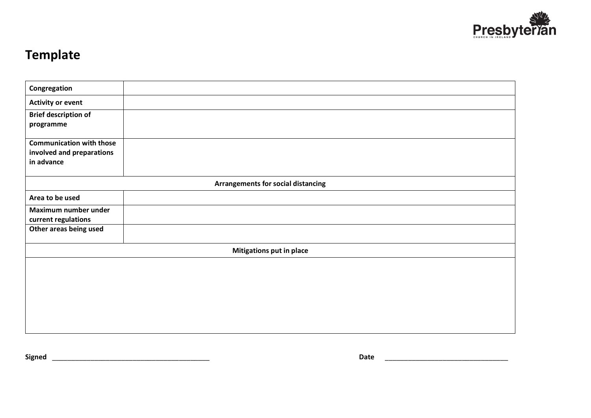

## **Template**

| Congregation                       |  |  |
|------------------------------------|--|--|
| <b>Activity or event</b>           |  |  |
| <b>Brief description of</b>        |  |  |
| programme                          |  |  |
| <b>Communication with those</b>    |  |  |
| involved and preparations          |  |  |
| in advance                         |  |  |
| Arrangements for social distancing |  |  |
| Area to be used                    |  |  |
| Maximum number under               |  |  |
| current regulations                |  |  |
| Other areas being used             |  |  |
| <b>Mitigations put in place</b>    |  |  |
|                                    |  |  |
|                                    |  |  |
|                                    |  |  |
|                                    |  |  |
|                                    |  |  |
|                                    |  |  |
|                                    |  |  |

**Signed** \_\_\_\_\_\_\_\_\_\_\_\_\_\_\_\_\_\_\_\_\_\_\_\_\_\_\_\_\_\_\_\_\_\_\_\_\_\_\_\_\_ **Date** \_\_\_\_\_\_\_\_\_\_\_\_\_\_\_\_\_\_\_\_\_\_\_\_\_\_\_\_\_\_\_\_